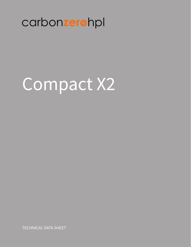# carbonzerohpl

# Compact X2

**TECHNICAL DATA SHEET**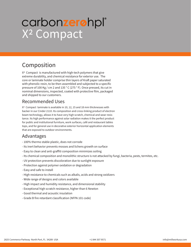# X2 Compact carbonzerohpl®

### Composition

X2 Compact is manufactured with high-tech polymers that give extreme durability, and chemical resistance for exterior use. The core or laminate holder comprise thin layers of Kraft paper saturated with phenolic resin, to be then assembled and subjected to a specific pressure of 100 Kg / cm 2 and 135 ° C (275 ° F). Once pressed, its cut in nominal dimensions, inspected, coated with protective film, packaged and shipped to our customers.

#### Recommended Uses

X2 Compact laminate is available in 10, 12, 15 and 18 mm thicknesses with backer in our Cinder 2110. Its composition and cross-linking product of electron beam technology, allows it to have very high scratch, chemical and wear resistance. Its high performance against solar radiation makes it the perfect product for public and institutional furniture, work surfaces, café and restaurant tables tops, and for general use in decorative exterior horizontal application elements that are exposed to outdoor environments.

#### Advantages

- 100% thermo stable plastic, does not corrode
- Its inert behavior prevents mosses and lichens growth on surface
- Easy to clean and anti-graffiti composition minimizes soiling
- Its chemical composition and monolithic structure is not attacked by fungi, bacteria, pests, termites, etc.
- UV protection prevents discoloration due to sunlight exposure
- Protection against polymer oxidation or degradation
- Easy and safe to install
- High resistance to chemicals such as alkalis, acids and strong oxidizers
- Wide range of designs and colors available
- High impact and humidity resistance, and dimensional stability
- Exceptional high scratch resistance, higher than 6 Newton
- Good thermal and acoustic insulation
- Grade B fire retardant classification (NFPA 101 code)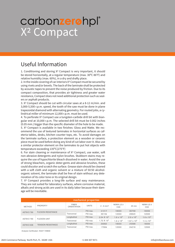### X2 Compact carbonzerohpl®

### Useful Information

1. Conditioning and storing X2 Compact is very important, it should be stored horizontally, at a regular temperature (max. 30ºC 86°F) and relative humidity (max. 60%), in a dry and drafty place.

2. In the inside covering of car interiors X2 Compact must be secured by using rivets and/or bevels. The back of the laminate shall be protected by acoustic tapes to prevent the noise produced by friction. Due to its compact composition, that provides air tightness and greater water resistance, Compact does not need additional protection such as sealers or asphalt products.

3. X2 Compact should be cut with circular saws at a 8-12 m/min. and 3,000-5,500 r.p.m. speed, the tooth of the saw must be done in plane trapezoidal diamond with alternating geometry. For routed jobs, a cylindrical miller of minimum 12,000 r.p.m. must be used.

4. To perforate X2 Compact use a tungsten-carbide drill bit with biangular end at 10,000 r.p.m. The selected drill bit must be 0.002 inches (0.05 mm.) bigger than the specific diameter of the hole to be made.

5. X2 Compact is available in two finishes: Gloss and Matte. We recommend the use of textured laminates in horizontal surfaces as cafeteria tables, desks, kitchen counter tops, etc. To avoid damages on the laminate surface, a protection element as a wooden or ceramic piece must be used before doing any kind of cut labor over it. Also use a similar protector element on the laminates to put hot objects with temperature exceeding 135ºC(275°F)

6. For stain cleaning or maintenance of X2 Compact, use water, soft non-abrasive detergents and nylon brushes. Stubborn stains may require the use of hypochlorite bleach dissolved in water. Avoid the use of strong bleachers, organic deter-gents and abrasive brushes, these could discolor and scratch the surface. Grease stain should be cleaned with a soft cloth and organic solvent or a mixture of 50:50 alcoholorganic solvent, the laminate shall be free of stain without any deterioration of its color tone or its original design.

7. X2 Compact provides a long-life surface and easy maintenance. They are not suited for laboratory surfaces, where corrosive material, alkalis and strong acids are used in its daily labor because their damage will be inevitable.

| mechanical properties |                           |                                    |              |                      |                     |                      |                     |
|-----------------------|---------------------------|------------------------------------|--------------|----------------------|---------------------|----------------------|---------------------|
| <b>METHOD</b>         | <b>PROPERTY</b>           | <b>FIBER</b><br><b>ORIENTATION</b> | <b>UNITS</b> | $2 - 6$ mm $7$       | NEMA LD.3<br>CGS    | 25 mm                | NEMA LD.3<br>CGS    |
| ASTM D 790            | <b>FLEXION RESISTANCE</b> |                                    | PSI max.     | 41317                | 18000               | 30759                | 18000               |
|                       |                           | Transversal                        | PSI max.     | 39194                | 12000               | 28945                | 12000               |
| ASTM D 790            | <b>FLEXION UNIT</b>       | Longitudinal                       | PSI max.     | $2.04 \times 10^6$   | $1.6 \times 10^{6}$ | $2.0 \times 10^{6}$  | $1.6 \times 10^{6}$ |
|                       |                           | Transversal                        | PSI max.     | $1.72 \times 10^{6}$ | $1.4 \times 10^{6}$ | $1.87 \times 10^{6}$ | $1.4 \times 10^{6}$ |
| ASTM D 638            | <b>TENSION RESISTANCE</b> | Longitudinal                       | PSI max.     | 20062                | 18000               | 25598                | 18000               |
|                       |                           | Transversal                        | PSI max.     | 17084                | 12000               | 24216                | 12000               |

Analysis Certificated #4227-729830